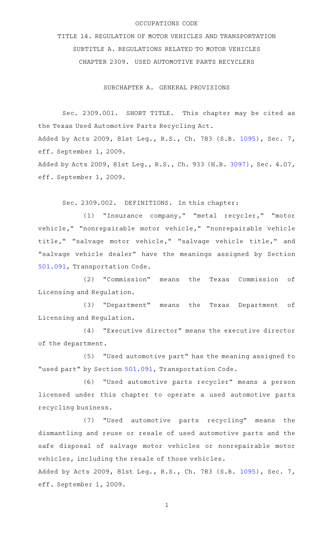#### OCCUPATIONS CODE

TITLE 14. REGULATION OF MOTOR VEHICLES AND TRANSPORTATION SUBTITLE A. REGULATIONS RELATED TO MOTOR VEHICLES CHAPTER 2309. USED AUTOMOTIVE PARTS RECYCLERS

SUBCHAPTER A. GENERAL PROVISIONS

Sec. 2309.001. SHORT TITLE. This chapter may be cited as the Texas Used Automotive Parts Recycling Act. Added by Acts 2009, 81st Leg., R.S., Ch. 783 (S.B. [1095](http://www.legis.state.tx.us/tlodocs/81R/billtext/html/SB01095F.HTM)), Sec. 7, eff. September 1, 2009.

Added by Acts 2009, 81st Leg., R.S., Ch. 933 (H.B. [3097](http://www.legis.state.tx.us/tlodocs/81R/billtext/html/HB03097F.HTM)), Sec. 4.07, eff. September 1, 2009.

Sec. 2309.002. DEFINITIONS. In this chapter:

(1) "Insurance company," "metal recycler," "motor vehicle," "nonrepairable motor vehicle," "nonrepairable vehicle title," "salvage motor vehicle," "salvage vehicle title," and "salvage vehicle dealer" have the meanings assigned by Section [501.091,](http://www.statutes.legis.state.tx.us/GetStatute.aspx?Code=TN&Value=501.091) Transportation Code.

(2) "Commission" means the Texas Commission of Licensing and Regulation.

(3) "Department" means the Texas Department of Licensing and Regulation.

(4) "Executive director" means the executive director of the department.

(5) "Used automotive part" has the meaning assigned to "used part" by Section [501.091](http://www.statutes.legis.state.tx.us/GetStatute.aspx?Code=TN&Value=501.091), Transportation Code.

(6) "Used automotive parts recycler" means a person licensed under this chapter to operate a used automotive parts recycling business.

(7) "Used automotive parts recycling" means the dismantling and reuse or resale of used automotive parts and the safe disposal of salvage motor vehicles or nonrepairable motor vehicles, including the resale of those vehicles.

Added by Acts 2009, 81st Leg., R.S., Ch. 783 (S.B. [1095](http://www.legis.state.tx.us/tlodocs/81R/billtext/html/SB01095F.HTM)), Sec. 7, eff. September 1, 2009.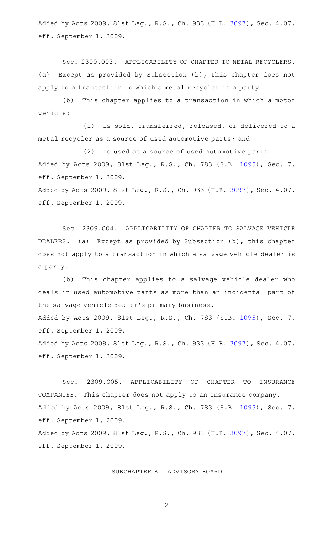Added by Acts 2009, 81st Leg., R.S., Ch. 933 (H.B. [3097](http://www.legis.state.tx.us/tlodocs/81R/billtext/html/HB03097F.HTM)), Sec. 4.07, eff. September 1, 2009.

Sec. 2309.003. APPLICABILITY OF CHAPTER TO METAL RECYCLERS. (a) Except as provided by Subsection (b), this chapter does not apply to a transaction to which a metal recycler is a party.

(b) This chapter applies to a transaction in which a motor vehicle:

(1) is sold, transferred, released, or delivered to a metal recycler as a source of used automotive parts; and

 $(2)$  is used as a source of used automotive parts. Added by Acts 2009, 81st Leg., R.S., Ch. 783 (S.B. [1095](http://www.legis.state.tx.us/tlodocs/81R/billtext/html/SB01095F.HTM)), Sec. 7, eff. September 1, 2009.

Added by Acts 2009, 81st Leg., R.S., Ch. 933 (H.B. [3097](http://www.legis.state.tx.us/tlodocs/81R/billtext/html/HB03097F.HTM)), Sec. 4.07, eff. September 1, 2009.

Sec. 2309.004. APPLICABILITY OF CHAPTER TO SALVAGE VEHICLE DEALERS. (a) Except as provided by Subsection (b), this chapter does not apply to a transaction in which a salvage vehicle dealer is a party.

(b) This chapter applies to a salvage vehicle dealer who deals in used automotive parts as more than an incidental part of the salvage vehicle dealer 's primary business.

Added by Acts 2009, 81st Leg., R.S., Ch. 783 (S.B. [1095](http://www.legis.state.tx.us/tlodocs/81R/billtext/html/SB01095F.HTM)), Sec. 7, eff. September 1, 2009.

Added by Acts 2009, 81st Leg., R.S., Ch. 933 (H.B. [3097](http://www.legis.state.tx.us/tlodocs/81R/billtext/html/HB03097F.HTM)), Sec. 4.07, eff. September 1, 2009.

Sec. 2309.005. APPLICABILITY OF CHAPTER TO INSURANCE COMPANIES. This chapter does not apply to an insurance company. Added by Acts 2009, 81st Leg., R.S., Ch. 783 (S.B. [1095](http://www.legis.state.tx.us/tlodocs/81R/billtext/html/SB01095F.HTM)), Sec. 7, eff. September 1, 2009.

Added by Acts 2009, 81st Leg., R.S., Ch. 933 (H.B. [3097](http://www.legis.state.tx.us/tlodocs/81R/billtext/html/HB03097F.HTM)), Sec. 4.07, eff. September 1, 2009.

SUBCHAPTER B. ADVISORY BOARD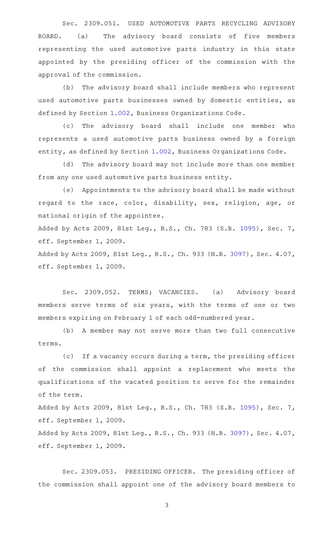Sec. 2309.051. USED AUTOMOTIVE PARTS RECYCLING ADVISORY BOARD. (a) The advisory board consists of five members representing the used automotive parts industry in this state appointed by the presiding officer of the commission with the approval of the commission.

(b) The advisory board shall include members who represent used automotive parts businesses owned by domestic entities, as defined by Section [1.002,](http://www.statutes.legis.state.tx.us/GetStatute.aspx?Code=BO&Value=1.002) Business Organizations Code.

(c) The advisory board shall include one member who represents a used automotive parts business owned by a foreign entity, as defined by Section [1.002,](http://www.statutes.legis.state.tx.us/GetStatute.aspx?Code=BO&Value=1.002) Business Organizations Code.

(d) The advisory board may not include more than one member from any one used automotive parts business entity.

(e) Appointments to the advisory board shall be made without regard to the race, color, disability, sex, religion, age, or national origin of the appointee.

Added by Acts 2009, 81st Leg., R.S., Ch. 783 (S.B. [1095](http://www.legis.state.tx.us/tlodocs/81R/billtext/html/SB01095F.HTM)), Sec. 7, eff. September 1, 2009.

Added by Acts 2009, 81st Leg., R.S., Ch. 933 (H.B. [3097](http://www.legis.state.tx.us/tlodocs/81R/billtext/html/HB03097F.HTM)), Sec. 4.07, eff. September 1, 2009.

Sec. 2309.052. TERMS; VACANCIES. (a) Advisory board members serve terms of six years, with the terms of one or two members expiring on February 1 of each odd-numbered year.

(b) A member may not serve more than two full consecutive terms.

(c) If a vacancy occurs during a term, the presiding officer of the commission shall appoint a replacement who meets the qualifications of the vacated position to serve for the remainder of the term.

Added by Acts 2009, 81st Leg., R.S., Ch. 783 (S.B. [1095](http://www.legis.state.tx.us/tlodocs/81R/billtext/html/SB01095F.HTM)), Sec. 7, eff. September 1, 2009.

Added by Acts 2009, 81st Leg., R.S., Ch. 933 (H.B. [3097](http://www.legis.state.tx.us/tlodocs/81R/billtext/html/HB03097F.HTM)), Sec. 4.07, eff. September 1, 2009.

Sec. 2309.053. PRESIDING OFFICER. The presiding officer of the commission shall appoint one of the advisory board members to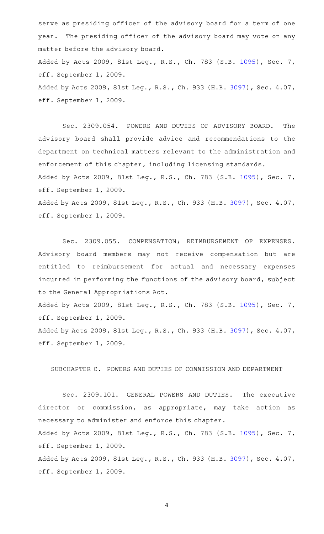serve as presiding officer of the advisory board for a term of one year. The presiding officer of the advisory board may vote on any matter before the advisory board. Added by Acts 2009, 81st Leg., R.S., Ch. 783 (S.B. [1095](http://www.legis.state.tx.us/tlodocs/81R/billtext/html/SB01095F.HTM)), Sec. 7, eff. September 1, 2009. Added by Acts 2009, 81st Leg., R.S., Ch. 933 (H.B. [3097](http://www.legis.state.tx.us/tlodocs/81R/billtext/html/HB03097F.HTM)), Sec. 4.07, eff. September 1, 2009.

Sec. 2309.054. POWERS AND DUTIES OF ADVISORY BOARD. The advisory board shall provide advice and recommendations to the department on technical matters relevant to the administration and enforcement of this chapter, including licensing standards. Added by Acts 2009, 81st Leg., R.S., Ch. 783 (S.B. [1095](http://www.legis.state.tx.us/tlodocs/81R/billtext/html/SB01095F.HTM)), Sec. 7, eff. September 1, 2009.

Added by Acts 2009, 81st Leg., R.S., Ch. 933 (H.B. [3097](http://www.legis.state.tx.us/tlodocs/81R/billtext/html/HB03097F.HTM)), Sec. 4.07, eff. September 1, 2009.

Sec. 2309.055. COMPENSATION; REIMBURSEMENT OF EXPENSES. Advisory board members may not receive compensation but are entitled to reimbursement for actual and necessary expenses incurred in performing the functions of the advisory board, subject to the General Appropriations Act.

Added by Acts 2009, 81st Leg., R.S., Ch. 783 (S.B. [1095](http://www.legis.state.tx.us/tlodocs/81R/billtext/html/SB01095F.HTM)), Sec. 7, eff. September 1, 2009.

Added by Acts 2009, 81st Leg., R.S., Ch. 933 (H.B. [3097](http://www.legis.state.tx.us/tlodocs/81R/billtext/html/HB03097F.HTM)), Sec. 4.07, eff. September 1, 2009.

### SUBCHAPTER C. POWERS AND DUTIES OF COMMISSION AND DEPARTMENT

Sec. 2309.101. GENERAL POWERS AND DUTIES. The executive director or commission, as appropriate, may take action as necessary to administer and enforce this chapter. Added by Acts 2009, 81st Leg., R.S., Ch. 783 (S.B. [1095](http://www.legis.state.tx.us/tlodocs/81R/billtext/html/SB01095F.HTM)), Sec. 7,

eff. September 1, 2009.

Added by Acts 2009, 81st Leg., R.S., Ch. 933 (H.B. [3097](http://www.legis.state.tx.us/tlodocs/81R/billtext/html/HB03097F.HTM)), Sec. 4.07, eff. September 1, 2009.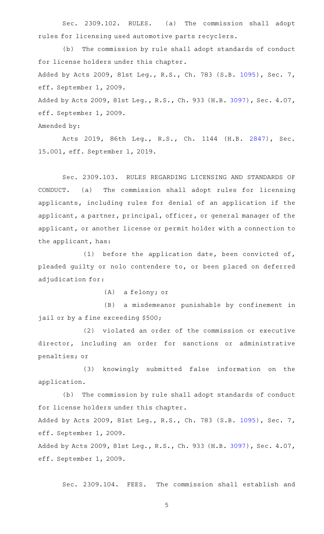Sec. 2309.102. RULES. (a) The commission shall adopt rules for licensing used automotive parts recyclers.

(b) The commission by rule shall adopt standards of conduct for license holders under this chapter. Added by Acts 2009, 81st Leg., R.S., Ch. 783 (S.B. [1095](http://www.legis.state.tx.us/tlodocs/81R/billtext/html/SB01095F.HTM)), Sec. 7, eff. September 1, 2009. Added by Acts 2009, 81st Leg., R.S., Ch. 933 (H.B. [3097](http://www.legis.state.tx.us/tlodocs/81R/billtext/html/HB03097F.HTM)), Sec. 4.07, eff. September 1, 2009.

Amended by:

Acts 2019, 86th Leg., R.S., Ch. 1144 (H.B. [2847\)](http://www.legis.state.tx.us/tlodocs/86R/billtext/html/HB02847F.HTM), Sec. 15.001, eff. September 1, 2019.

Sec. 2309.103. RULES REGARDING LICENSING AND STANDARDS OF CONDUCT. (a) The commission shall adopt rules for licensing applicants, including rules for denial of an application if the applicant, a partner, principal, officer, or general manager of the applicant, or another license or permit holder with a connection to the applicant, has:

(1) before the application date, been convicted of, pleaded guilty or nolo contendere to, or been placed on deferred adjudication for:

 $(A)$  a felony; or

(B) a misdemeanor punishable by confinement in jail or by a fine exceeding \$500;

(2) violated an order of the commission or executive director, including an order for sanctions or administrative penalties; or

(3) knowingly submitted false information on the application.

(b) The commission by rule shall adopt standards of conduct for license holders under this chapter.

Added by Acts 2009, 81st Leg., R.S., Ch. 783 (S.B. [1095](http://www.legis.state.tx.us/tlodocs/81R/billtext/html/SB01095F.HTM)), Sec. 7, eff. September 1, 2009.

Added by Acts 2009, 81st Leg., R.S., Ch. 933 (H.B. [3097](http://www.legis.state.tx.us/tlodocs/81R/billtext/html/HB03097F.HTM)), Sec. 4.07, eff. September 1, 2009.

Sec. 2309.104. FEES. The commission shall establish and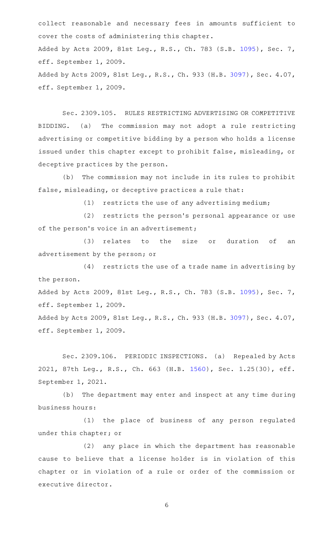collect reasonable and necessary fees in amounts sufficient to cover the costs of administering this chapter. Added by Acts 2009, 81st Leg., R.S., Ch. 783 (S.B. [1095](http://www.legis.state.tx.us/tlodocs/81R/billtext/html/SB01095F.HTM)), Sec. 7, eff. September 1, 2009. Added by Acts 2009, 81st Leg., R.S., Ch. 933 (H.B. [3097](http://www.legis.state.tx.us/tlodocs/81R/billtext/html/HB03097F.HTM)), Sec. 4.07, eff. September 1, 2009.

Sec. 2309.105. RULES RESTRICTING ADVERTISING OR COMPETITIVE BIDDING. (a) The commission may not adopt a rule restricting advertising or competitive bidding by a person who holds a license issued under this chapter except to prohibit false, misleading, or deceptive practices by the person.

(b) The commission may not include in its rules to prohibit false, misleading, or deceptive practices a rule that:

 $(1)$  restricts the use of any advertising medium;

(2) restricts the person's personal appearance or use of the person's voice in an advertisement;

(3) relates to the size or duration of an advertisement by the person; or

 $(4)$  restricts the use of a trade name in advertising by the person.

Added by Acts 2009, 81st Leg., R.S., Ch. 783 (S.B. [1095](http://www.legis.state.tx.us/tlodocs/81R/billtext/html/SB01095F.HTM)), Sec. 7, eff. September 1, 2009.

Added by Acts 2009, 81st Leg., R.S., Ch. 933 (H.B. [3097](http://www.legis.state.tx.us/tlodocs/81R/billtext/html/HB03097F.HTM)), Sec. 4.07, eff. September 1, 2009.

Sec. 2309.106. PERIODIC INSPECTIONS. (a) Repealed by Acts 2021, 87th Leg., R.S., Ch. 663 (H.B. [1560\)](http://www.legis.state.tx.us/tlodocs/87R/billtext/html/HB01560F.HTM), Sec. 1.25(30), eff. September 1, 2021.

(b) The department may enter and inspect at any time during business hours:

(1) the place of business of any person regulated under this chapter; or

(2) any place in which the department has reasonable cause to believe that a license holder is in violation of this chapter or in violation of a rule or order of the commission or executive director.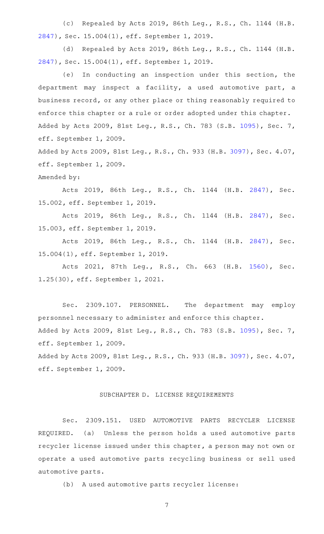(c) Repealed by Acts 2019, 86th Leg., R.S., Ch. 1144 (H.B. [2847](http://www.legis.state.tx.us/tlodocs/86R/billtext/html/HB02847F.HTM)), Sec. 15.004(1), eff. September 1, 2019.

(d) Repealed by Acts 2019, 86th Leg., R.S., Ch. 1144 (H.B. [2847](http://www.legis.state.tx.us/tlodocs/86R/billtext/html/HB02847F.HTM)), Sec. 15.004(1), eff. September 1, 2019.

(e) In conducting an inspection under this section, the department may inspect a facility, a used automotive part, a business record, or any other place or thing reasonably required to enforce this chapter or a rule or order adopted under this chapter. Added by Acts 2009, 81st Leg., R.S., Ch. 783 (S.B. [1095](http://www.legis.state.tx.us/tlodocs/81R/billtext/html/SB01095F.HTM)), Sec. 7, eff. September 1, 2009.

Added by Acts 2009, 81st Leg., R.S., Ch. 933 (H.B. [3097](http://www.legis.state.tx.us/tlodocs/81R/billtext/html/HB03097F.HTM)), Sec. 4.07, eff. September 1, 2009.

Amended by:

Acts 2019, 86th Leg., R.S., Ch. 1144 (H.B. [2847\)](http://www.legis.state.tx.us/tlodocs/86R/billtext/html/HB02847F.HTM), Sec. 15.002, eff. September 1, 2019.

Acts 2019, 86th Leg., R.S., Ch. 1144 (H.B. [2847\)](http://www.legis.state.tx.us/tlodocs/86R/billtext/html/HB02847F.HTM), Sec. 15.003, eff. September 1, 2019.

Acts 2019, 86th Leg., R.S., Ch. 1144 (H.B. [2847\)](http://www.legis.state.tx.us/tlodocs/86R/billtext/html/HB02847F.HTM), Sec. 15.004(1), eff. September 1, 2019.

Acts 2021, 87th Leg., R.S., Ch. 663 (H.B. [1560\)](http://www.legis.state.tx.us/tlodocs/87R/billtext/html/HB01560F.HTM), Sec. 1.25(30), eff. September 1, 2021.

Sec. 2309.107. PERSONNEL. The department may employ personnel necessary to administer and enforce this chapter. Added by Acts 2009, 81st Leg., R.S., Ch. 783 (S.B. [1095](http://www.legis.state.tx.us/tlodocs/81R/billtext/html/SB01095F.HTM)), Sec. 7, eff. September 1, 2009.

Added by Acts 2009, 81st Leg., R.S., Ch. 933 (H.B. [3097](http://www.legis.state.tx.us/tlodocs/81R/billtext/html/HB03097F.HTM)), Sec. 4.07, eff. September 1, 2009.

## SUBCHAPTER D. LICENSE REQUIREMENTS

Sec. 2309.151. USED AUTOMOTIVE PARTS RECYCLER LICENSE REQUIRED. (a) Unless the person holds a used automotive parts recycler license issued under this chapter, a person may not own or operate a used automotive parts recycling business or sell used automotive parts.

(b) A used automotive parts recycler license: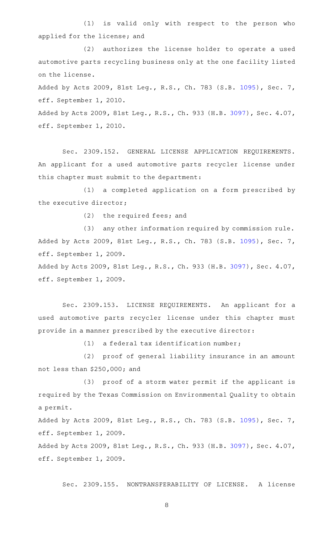(1) is valid only with respect to the person who applied for the license; and

(2) authorizes the license holder to operate a used automotive parts recycling business only at the one facility listed on the license.

Added by Acts 2009, 81st Leg., R.S., Ch. 783 (S.B. [1095](http://www.legis.state.tx.us/tlodocs/81R/billtext/html/SB01095F.HTM)), Sec. 7, eff. September 1, 2010.

Added by Acts 2009, 81st Leg., R.S., Ch. 933 (H.B. [3097](http://www.legis.state.tx.us/tlodocs/81R/billtext/html/HB03097F.HTM)), Sec. 4.07, eff. September 1, 2010.

Sec. 2309.152. GENERAL LICENSE APPLICATION REQUIREMENTS. An applicant for a used automotive parts recycler license under this chapter must submit to the department:

(1) a completed application on a form prescribed by the executive director;

 $(2)$  the required fees; and

(3) any other information required by commission rule. Added by Acts 2009, 81st Leg., R.S., Ch. 783 (S.B. [1095](http://www.legis.state.tx.us/tlodocs/81R/billtext/html/SB01095F.HTM)), Sec. 7, eff. September 1, 2009.

Added by Acts 2009, 81st Leg., R.S., Ch. 933 (H.B. [3097](http://www.legis.state.tx.us/tlodocs/81R/billtext/html/HB03097F.HTM)), Sec. 4.07, eff. September 1, 2009.

Sec. 2309.153. LICENSE REQUIREMENTS. An applicant for a used automotive parts recycler license under this chapter must provide in a manner prescribed by the executive director:

 $(1)$  a federal tax identification number;

(2) proof of general liability insurance in an amount not less than \$250,000; and

(3) proof of a storm water permit if the applicant is required by the Texas Commission on Environmental Quality to obtain a permit.

Added by Acts 2009, 81st Leg., R.S., Ch. 783 (S.B. [1095](http://www.legis.state.tx.us/tlodocs/81R/billtext/html/SB01095F.HTM)), Sec. 7, eff. September 1, 2009.

Added by Acts 2009, 81st Leg., R.S., Ch. 933 (H.B. [3097](http://www.legis.state.tx.us/tlodocs/81R/billtext/html/HB03097F.HTM)), Sec. 4.07, eff. September 1, 2009.

Sec. 2309.155. NONTRANSFERABILITY OF LICENSE. A license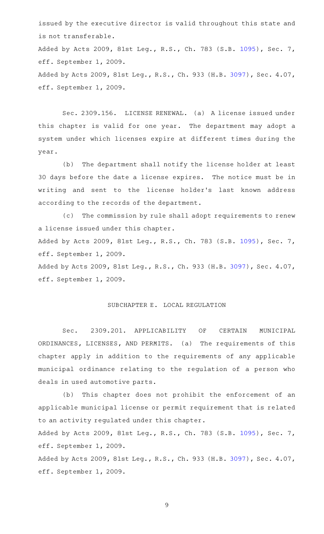issued by the executive director is valid throughout this state and is not transferable.

Added by Acts 2009, 81st Leg., R.S., Ch. 783 (S.B. [1095](http://www.legis.state.tx.us/tlodocs/81R/billtext/html/SB01095F.HTM)), Sec. 7, eff. September 1, 2009.

Added by Acts 2009, 81st Leg., R.S., Ch. 933 (H.B. [3097](http://www.legis.state.tx.us/tlodocs/81R/billtext/html/HB03097F.HTM)), Sec. 4.07, eff. September 1, 2009.

Sec. 2309.156. LICENSE RENEWAL. (a) A license issued under this chapter is valid for one year. The department may adopt a system under which licenses expire at different times during the year.

(b) The department shall notify the license holder at least 30 days before the date a license expires. The notice must be in writing and sent to the license holder 's last known address according to the records of the department.

(c) The commission by rule shall adopt requirements to renew a license issued under this chapter.

Added by Acts 2009, 81st Leg., R.S., Ch. 783 (S.B. [1095](http://www.legis.state.tx.us/tlodocs/81R/billtext/html/SB01095F.HTM)), Sec. 7, eff. September 1, 2009.

Added by Acts 2009, 81st Leg., R.S., Ch. 933 (H.B. [3097](http://www.legis.state.tx.us/tlodocs/81R/billtext/html/HB03097F.HTM)), Sec. 4.07, eff. September 1, 2009.

## SUBCHAPTER E. LOCAL REGULATION

Sec. 2309.201. APPLICABILITY OF CERTAIN MUNICIPAL ORDINANCES, LICENSES, AND PERMITS. (a) The requirements of this chapter apply in addition to the requirements of any applicable municipal ordinance relating to the regulation of a person who deals in used automotive parts.

(b) This chapter does not prohibit the enforcement of an applicable municipal license or permit requirement that is related to an activity regulated under this chapter.

Added by Acts 2009, 81st Leg., R.S., Ch. 783 (S.B. [1095](http://www.legis.state.tx.us/tlodocs/81R/billtext/html/SB01095F.HTM)), Sec. 7, eff. September 1, 2009.

Added by Acts 2009, 81st Leg., R.S., Ch. 933 (H.B. [3097](http://www.legis.state.tx.us/tlodocs/81R/billtext/html/HB03097F.HTM)), Sec. 4.07, eff. September 1, 2009.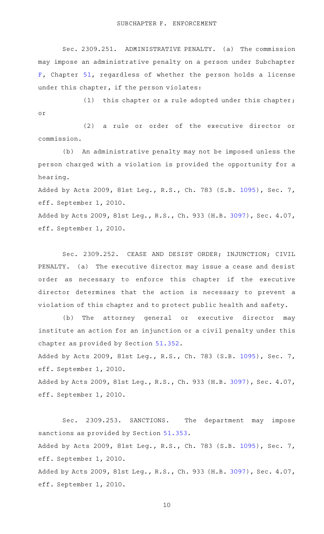SUBCHAPTER F. ENFORCEMENT

Sec. 2309.251. ADMINISTRATIVE PENALTY. (a) The commission may impose an administrative penalty on a person under Subchapter [F,](http://www.statutes.legis.state.tx.us/GetStatute.aspx?Code=OC&Value=51.301) Chapter [51](http://www.statutes.legis.state.tx.us/GetStatute.aspx?Code=OC&Value=51), regardless of whether the person holds a license under this chapter, if the person violates:

 $(1)$  this chapter or a rule adopted under this chapter; or

(2) a rule or order of the executive director or commission.

(b) An administrative penalty may not be imposed unless the person charged with a violation is provided the opportunity for a hearing.

Added by Acts 2009, 81st Leg., R.S., Ch. 783 (S.B. [1095](http://www.legis.state.tx.us/tlodocs/81R/billtext/html/SB01095F.HTM)), Sec. 7, eff. September 1, 2010.

Added by Acts 2009, 81st Leg., R.S., Ch. 933 (H.B. [3097](http://www.legis.state.tx.us/tlodocs/81R/billtext/html/HB03097F.HTM)), Sec. 4.07, eff. September 1, 2010.

Sec. 2309.252. CEASE AND DESIST ORDER; INJUNCTION; CIVIL PENALTY. (a) The executive director may issue a cease and desist order as necessary to enforce this chapter if the executive director determines that the action is necessary to prevent a violation of this chapter and to protect public health and safety.

(b) The attorney general or executive director may institute an action for an injunction or a civil penalty under this chapter as provided by Section [51.352.](http://www.statutes.legis.state.tx.us/GetStatute.aspx?Code=OC&Value=51.352)

Added by Acts 2009, 81st Leg., R.S., Ch. 783 (S.B. [1095](http://www.legis.state.tx.us/tlodocs/81R/billtext/html/SB01095F.HTM)), Sec. 7, eff. September 1, 2010.

Added by Acts 2009, 81st Leg., R.S., Ch. 933 (H.B. [3097](http://www.legis.state.tx.us/tlodocs/81R/billtext/html/HB03097F.HTM)), Sec. 4.07, eff. September 1, 2010.

Sec. 2309.253. SANCTIONS. The department may impose sanctions as provided by Section [51.353.](http://www.statutes.legis.state.tx.us/GetStatute.aspx?Code=OC&Value=51.353) Added by Acts 2009, 81st Leg., R.S., Ch. 783 (S.B. [1095](http://www.legis.state.tx.us/tlodocs/81R/billtext/html/SB01095F.HTM)), Sec. 7, eff. September 1, 2010. Added by Acts 2009, 81st Leg., R.S., Ch. 933 (H.B. [3097](http://www.legis.state.tx.us/tlodocs/81R/billtext/html/HB03097F.HTM)), Sec. 4.07, eff. September 1, 2010.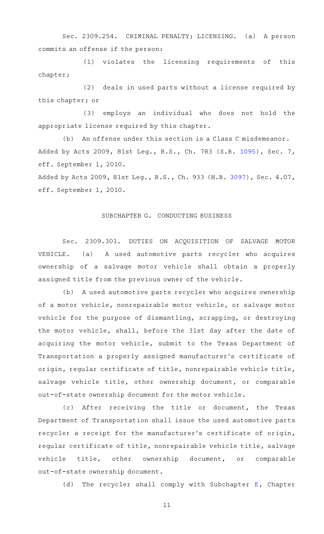Sec. 2309.254. CRIMINAL PENALTY; LICENSING. (a) A person commits an offense if the person:

(1) violates the licensing requirements of this chapter;

(2) deals in used parts without a license required by this chapter; or

(3) employs an individual who does not hold the appropriate license required by this chapter.

(b) An offense under this section is a Class C misdemeanor. Added by Acts 2009, 81st Leg., R.S., Ch. 783 (S.B. [1095](http://www.legis.state.tx.us/tlodocs/81R/billtext/html/SB01095F.HTM)), Sec. 7, eff. September 1, 2010.

Added by Acts 2009, 81st Leg., R.S., Ch. 933 (H.B. [3097](http://www.legis.state.tx.us/tlodocs/81R/billtext/html/HB03097F.HTM)), Sec. 4.07, eff. September 1, 2010.

#### SUBCHAPTER G. CONDUCTING BUSINESS

Sec. 2309.301. DUTIES ON ACQUISITION OF SALVAGE MOTOR VEHICLE. (a) A used automotive parts recycler who acquires ownership of a salvage motor vehicle shall obtain a properly assigned title from the previous owner of the vehicle.

(b) A used automotive parts recycler who acquires ownership of a motor vehicle, nonrepairable motor vehicle, or salvage motor vehicle for the purpose of dismantling, scrapping, or destroying the motor vehicle, shall, before the 31st day after the date of acquiring the motor vehicle, submit to the Texas Department of Transportation a properly assigned manufacturer 's certificate of origin, regular certificate of title, nonrepairable vehicle title, salvage vehicle title, other ownership document, or comparable out-of-state ownership document for the motor vehicle.

(c) After receiving the title or document, the Texas Department of Transportation shall issue the used automotive parts recycler a receipt for the manufacturer 's certificate of origin, regular certificate of title, nonrepairable vehicle title, salvage vehicle title, other ownership document, or comparable out-of-state ownership document.

(d) The recycler shall comply with Subchapter  $E$ , Chapter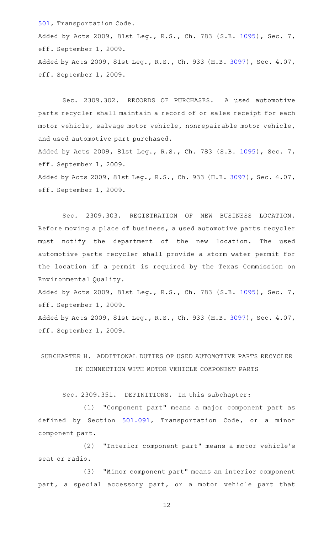[501,](http://www.statutes.legis.state.tx.us/GetStatute.aspx?Code=TN&Value=501) Transportation Code. Added by Acts 2009, 81st Leg., R.S., Ch. 783 (S.B. [1095](http://www.legis.state.tx.us/tlodocs/81R/billtext/html/SB01095F.HTM)), Sec. 7, eff. September 1, 2009. Added by Acts 2009, 81st Leg., R.S., Ch. 933 (H.B. [3097](http://www.legis.state.tx.us/tlodocs/81R/billtext/html/HB03097F.HTM)), Sec. 4.07, eff. September 1, 2009.

Sec. 2309.302. RECORDS OF PURCHASES. A used automotive parts recycler shall maintain a record of or sales receipt for each motor vehicle, salvage motor vehicle, nonrepairable motor vehicle, and used automotive part purchased. Added by Acts 2009, 81st Leg., R.S., Ch. 783 (S.B. [1095](http://www.legis.state.tx.us/tlodocs/81R/billtext/html/SB01095F.HTM)), Sec. 7,

eff. September 1, 2009. Added by Acts 2009, 81st Leg., R.S., Ch. 933 (H.B. [3097](http://www.legis.state.tx.us/tlodocs/81R/billtext/html/HB03097F.HTM)), Sec. 4.07,

eff. September 1, 2009.

Sec. 2309.303. REGISTRATION OF NEW BUSINESS LOCATION. Before moving a place of business, a used automotive parts recycler must notify the department of the new location. The used automotive parts recycler shall provide a storm water permit for the location if a permit is required by the Texas Commission on Environmental Quality.

Added by Acts 2009, 81st Leg., R.S., Ch. 783 (S.B. [1095](http://www.legis.state.tx.us/tlodocs/81R/billtext/html/SB01095F.HTM)), Sec. 7, eff. September 1, 2009.

Added by Acts 2009, 81st Leg., R.S., Ch. 933 (H.B. [3097](http://www.legis.state.tx.us/tlodocs/81R/billtext/html/HB03097F.HTM)), Sec. 4.07, eff. September 1, 2009.

# SUBCHAPTER H. ADDITIONAL DUTIES OF USED AUTOMOTIVE PARTS RECYCLER IN CONNECTION WITH MOTOR VEHICLE COMPONENT PARTS

Sec. 2309.351. DEFINITIONS. In this subchapter:

(1) "Component part" means a major component part as defined by Section [501.091,](http://www.statutes.legis.state.tx.us/GetStatute.aspx?Code=TN&Value=501.091) Transportation Code, or a minor component part.

(2) "Interior component part" means a motor vehicle's seat or radio.

(3) "Minor component part" means an interior component part, a special accessory part, or a motor vehicle part that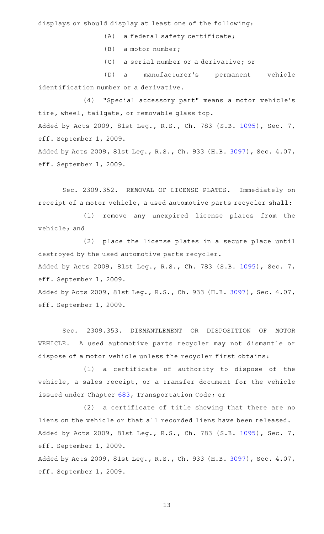displays or should display at least one of the following:

 $(A)$  a federal safety certificate;

 $(B)$  a motor number;

(C) a serial number or a derivative; or

(D) a manufacturer's permanent vehicle identification number or a derivative.

(4) "Special accessory part" means a motor vehicle's tire, wheel, tailgate, or removable glass top. Added by Acts 2009, 81st Leg., R.S., Ch. 783 (S.B. [1095](http://www.legis.state.tx.us/tlodocs/81R/billtext/html/SB01095F.HTM)), Sec. 7, eff. September 1, 2009. Added by Acts 2009, 81st Leg., R.S., Ch. 933 (H.B. [3097](http://www.legis.state.tx.us/tlodocs/81R/billtext/html/HB03097F.HTM)), Sec. 4.07,

eff. September 1, 2009.

Sec. 2309.352. REMOVAL OF LICENSE PLATES. Immediately on receipt of a motor vehicle, a used automotive parts recycler shall:

(1) remove any unexpired license plates from the vehicle; and

(2) place the license plates in a secure place until destroyed by the used automotive parts recycler.

Added by Acts 2009, 81st Leg., R.S., Ch. 783 (S.B. [1095](http://www.legis.state.tx.us/tlodocs/81R/billtext/html/SB01095F.HTM)), Sec. 7, eff. September 1, 2009.

Added by Acts 2009, 81st Leg., R.S., Ch. 933 (H.B. [3097](http://www.legis.state.tx.us/tlodocs/81R/billtext/html/HB03097F.HTM)), Sec. 4.07, eff. September 1, 2009.

Sec. 2309.353. DISMANTLEMENT OR DISPOSITION OF MOTOR VEHICLE. A used automotive parts recycler may not dismantle or dispose of a motor vehicle unless the recycler first obtains:

(1) a certificate of authority to dispose of the vehicle, a sales receipt, or a transfer document for the vehicle issued under Chapter [683,](http://www.statutes.legis.state.tx.us/GetStatute.aspx?Code=TN&Value=683) Transportation Code; or

 $(2)$  a certificate of title showing that there are no liens on the vehicle or that all recorded liens have been released. Added by Acts 2009, 81st Leg., R.S., Ch. 783 (S.B. [1095](http://www.legis.state.tx.us/tlodocs/81R/billtext/html/SB01095F.HTM)), Sec. 7, eff. September 1, 2009.

Added by Acts 2009, 81st Leg., R.S., Ch. 933 (H.B. [3097](http://www.legis.state.tx.us/tlodocs/81R/billtext/html/HB03097F.HTM)), Sec. 4.07, eff. September 1, 2009.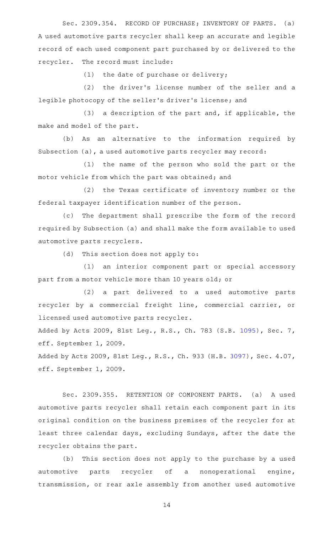Sec. 2309.354. RECORD OF PURCHASE; INVENTORY OF PARTS. (a) A used automotive parts recycler shall keep an accurate and legible record of each used component part purchased by or delivered to the recycler. The record must include:

 $(1)$  the date of purchase or delivery;

(2) the driver's license number of the seller and a legible photocopy of the seller 's driver 's license; and

 $(3)$  a description of the part and, if applicable, the make and model of the part.

(b) As an alternative to the information required by Subsection (a), a used automotive parts recycler may record:

(1) the name of the person who sold the part or the motor vehicle from which the part was obtained; and

(2) the Texas certificate of inventory number or the federal taxpayer identification number of the person.

(c) The department shall prescribe the form of the record required by Subsection (a) and shall make the form available to used automotive parts recyclers.

 $(d)$  This section does not apply to:

(1) an interior component part or special accessory part from a motor vehicle more than 10 years old; or

(2) a part delivered to a used automotive parts recycler by a commercial freight line, commercial carrier, or licensed used automotive parts recycler.

Added by Acts 2009, 81st Leg., R.S., Ch. 783 (S.B. [1095](http://www.legis.state.tx.us/tlodocs/81R/billtext/html/SB01095F.HTM)), Sec. 7, eff. September 1, 2009.

Added by Acts 2009, 81st Leg., R.S., Ch. 933 (H.B. [3097](http://www.legis.state.tx.us/tlodocs/81R/billtext/html/HB03097F.HTM)), Sec. 4.07, eff. September 1, 2009.

Sec. 2309.355. RETENTION OF COMPONENT PARTS. (a) A used automotive parts recycler shall retain each component part in its original condition on the business premises of the recycler for at least three calendar days, excluding Sundays, after the date the recycler obtains the part.

(b) This section does not apply to the purchase by a used automotive parts recycler of a nonoperational engine, transmission, or rear axle assembly from another used automotive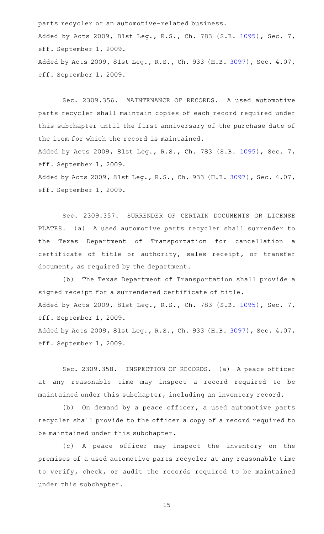parts recycler or an automotive-related business. Added by Acts 2009, 81st Leg., R.S., Ch. 783 (S.B. [1095](http://www.legis.state.tx.us/tlodocs/81R/billtext/html/SB01095F.HTM)), Sec. 7, eff. September 1, 2009. Added by Acts 2009, 81st Leg., R.S., Ch. 933 (H.B. [3097](http://www.legis.state.tx.us/tlodocs/81R/billtext/html/HB03097F.HTM)), Sec. 4.07, eff. September 1, 2009.

Sec. 2309.356. MAINTENANCE OF RECORDS. A used automotive parts recycler shall maintain copies of each record required under this subchapter until the first anniversary of the purchase date of the item for which the record is maintained. Added by Acts 2009, 81st Leg., R.S., Ch. 783 (S.B. [1095](http://www.legis.state.tx.us/tlodocs/81R/billtext/html/SB01095F.HTM)), Sec. 7, eff. September 1, 2009. Added by Acts 2009, 81st Leg., R.S., Ch. 933 (H.B. [3097](http://www.legis.state.tx.us/tlodocs/81R/billtext/html/HB03097F.HTM)), Sec. 4.07, eff. September 1, 2009.

Sec. 2309.357. SURRENDER OF CERTAIN DOCUMENTS OR LICENSE PLATES. (a) A used automotive parts recycler shall surrender to the Texas Department of Transportation for cancellation a certificate of title or authority, sales receipt, or transfer document, as required by the department.

(b) The Texas Department of Transportation shall provide a signed receipt for a surrendered certificate of title. Added by Acts 2009, 81st Leg., R.S., Ch. 783 (S.B. [1095](http://www.legis.state.tx.us/tlodocs/81R/billtext/html/SB01095F.HTM)), Sec. 7, eff. September 1, 2009. Added by Acts 2009, 81st Leg., R.S., Ch. 933 (H.B. [3097](http://www.legis.state.tx.us/tlodocs/81R/billtext/html/HB03097F.HTM)), Sec. 4.07, eff. September 1, 2009.

Sec. 2309.358. INSPECTION OF RECORDS. (a) A peace officer at any reasonable time may inspect a record required to be maintained under this subchapter, including an inventory record.

(b) On demand by a peace officer, a used automotive parts recycler shall provide to the officer a copy of a record required to be maintained under this subchapter.

(c)AAA peace officer may inspect the inventory on the premises of a used automotive parts recycler at any reasonable time to verify, check, or audit the records required to be maintained under this subchapter.